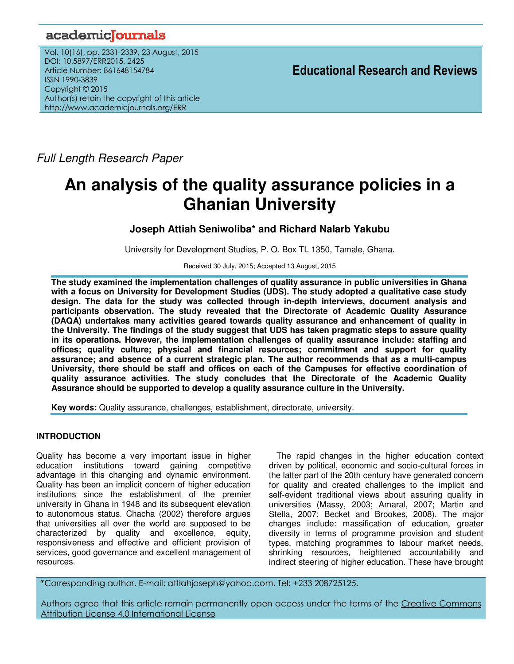## academiclournals

Vol. 10(16), pp. 2331-2339, 23 August, 2015 DOI: 10.5897/ERR2015. 2425 Article Number: 861648154784 ISSN 1990-3839 Copyright © 2015 Author(s) retain the copyright of this article http://www.academicjournals.org/ERR

**Educational Research and Reviews**

Full Length Research Paper

# **An analysis of the quality assurance policies in a Ghanian University**

## **Joseph Attiah Seniwoliba\* and Richard Nalarb Yakubu**

University for Development Studies, P. O. Box TL 1350, Tamale, Ghana.

Received 30 July, 2015; Accepted 13 August, 2015

**The study examined the implementation challenges of quality assurance in public universities in Ghana with a focus on University for Development Studies (UDS). The study adopted a qualitative case study design. The data for the study was collected through in-depth interviews, document analysis and participants observation. The study revealed that the Directorate of Academic Quality Assurance (DAQA) undertakes many activities geared towards quality assurance and enhancement of quality in the University. The findings of the study suggest that UDS has taken pragmatic steps to assure quality in its operations. However, the implementation challenges of quality assurance include: staffing and offices; quality culture; physical and financial resources; commitment and support for quality assurance; and absence of a current strategic plan. The author recommends that as a multi-campus University, there should be staff and offices on each of the Campuses for effective coordination of quality assurance activities. The study concludes that the Directorate of the Academic Quality Assurance should be supported to develop a quality assurance culture in the University.** 

**Key words:** Quality assurance, challenges, establishment, directorate, university.

## **INTRODUCTION**

Quality has become a very important issue in higher education institutions toward gaining competitive advantage in this changing and dynamic environment. Quality has been an implicit concern of higher education institutions since the establishment of the premier university in Ghana in 1948 and its subsequent elevation to autonomous status. Chacha (2002) therefore argues that universities all over the world are supposed to be characterized by quality and excellence, equity, responsiveness and effective and efficient provision of services, good governance and excellent management of resources.

The rapid changes in the higher education context driven by political, economic and socio‐cultural forces in the latter part of the 20th century have generated concern for quality and created challenges to the implicit and self-evident traditional views about assuring quality in universities (Massy, 2003; Amaral, 2007; Martin and Stella, 2007; Becket and Brookes, 2008). The major changes include: massification of education, greater diversity in terms of programme provision and student types, matching programmes to labour market needs, shrinking resources, heightened accountability and indirect steering of higher education. These have brought

\*Corresponding author. E-mail: attiahjoseph@yahoo.com. Tel: +233 208725125.

Authors agree that this article remain permanently open access under the terms of the Creative Commons Attribution License 4.0 International License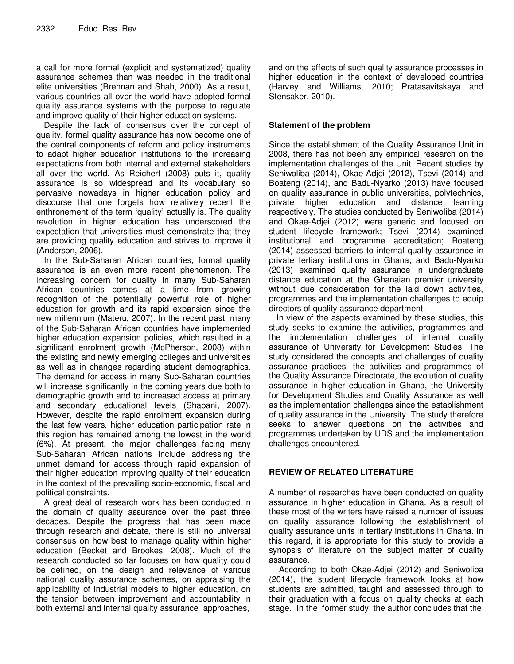a call for more formal (explicit and systematized) quality assurance schemes than was needed in the traditional elite universities (Brennan and Shah, 2000). As a result, various countries all over the world have adopted formal quality assurance systems with the purpose to regulate and improve quality of their higher education systems.

Despite the lack of consensus over the concept of quality, formal quality assurance has now become one of the central components of reform and policy instruments to adapt higher education institutions to the increasing expectations from both internal and external stakeholders all over the world. As Reichert (2008) puts it, quality assurance is so widespread and its vocabulary so pervasive nowadays in higher education policy and discourse that one forgets how relatively recent the enthronement of the term 'quality' actually is. The quality revolution in higher education has underscored the expectation that universities must demonstrate that they are providing quality education and strives to improve it (Anderson, 2006).

In the Sub‐Saharan African countries, formal quality assurance is an even more recent phenomenon. The increasing concern for quality in many Sub‐Saharan African countries comes at a time from growing recognition of the potentially powerful role of higher education for growth and its rapid expansion since the new millennium (Materu, 2007). In the recent past, many of the Sub‐Saharan African countries have implemented higher education expansion policies, which resulted in a significant enrolment growth (McPherson, 2008) within the existing and newly emerging colleges and universities as well as in changes regarding student demographics. The demand for access in many Sub‐Saharan countries will increase significantly in the coming years due both to demographic growth and to increased access at primary and secondary educational levels (Shabani, 2007). However, despite the rapid enrolment expansion during the last few years, higher education participation rate in this region has remained among the lowest in the world (6%). At present, the major challenges facing many Sub‐Saharan African nations include addressing the unmet demand for access through rapid expansion of their higher education improving quality of their education in the context of the prevailing socio‐economic, fiscal and political constraints.

A great deal of research work has been conducted in the domain of quality assurance over the past three decades. Despite the progress that has been made through research and debate, there is still no universal consensus on how best to manage quality within higher education (Becket and Brookes, 2008). Much of the research conducted so far focuses on how quality could be defined, on the design and relevance of various national quality assurance schemes, on appraising the applicability of industrial models to higher education, on the tension between improvement and accountability in both external and internal quality assurance approaches,

and on the effects of such quality assurance processes in higher education in the context of developed countries (Harvey and Williams, 2010; Pratasavitskaya and Stensaker, 2010).

## **Statement of the problem**

Since the establishment of the Quality Assurance Unit in 2008, there has not been any empirical research on the implementation challenges of the Unit. Recent studies by Seniwoliba (2014), Okae-Adjei (2012), Tsevi (2014) and Boateng (2014), and Badu-Nyarko (2013) have focused on quality assurance in public universities, polytechnics, private higher education and distance learning respectively. The studies conducted by Seniwoliba (2014) and Okae-Adjei (2012) were generic and focused on student lifecycle framework; Tsevi (2014) examined institutional and programme accreditation; Boateng (2014) assessed barriers to internal quality assurance in private tertiary institutions in Ghana; and Badu-Nyarko (2013) examined quality assurance in undergraduate distance education at the Ghanaian premier university without due consideration for the laid down activities, programmes and the implementation challenges to equip directors of quality assurance department.

In view of the aspects examined by these studies, this study seeks to examine the activities, programmes and the implementation challenges of internal quality assurance of University for Development Studies. The study considered the concepts and challenges of quality assurance practices, the activities and programmes of the Quality Assurance Directorate, the evolution of quality assurance in higher education in Ghana, the University for Development Studies and Quality Assurance as well as the implementation challenges since the establishment of quality assurance in the University. The study therefore seeks to answer questions on the activities and programmes undertaken by UDS and the implementation challenges encountered.

## **REVIEW OF RELATED LITERATURE**

A number of researches have been conducted on quality assurance in higher education in Ghana. As a result of these most of the writers have raised a number of issues on quality assurance following the establishment of quality assurance units in tertiary institutions in Ghana. In this regard, it is appropriate for this study to provide a synopsis of literature on the subject matter of quality assurance.

 According to both Okae-Adjei (2012) and Seniwoliba (2014), the student lifecycle framework looks at how students are admitted, taught and assessed through to their graduation with a focus on quality checks at each stage. In the former study, the author concludes that the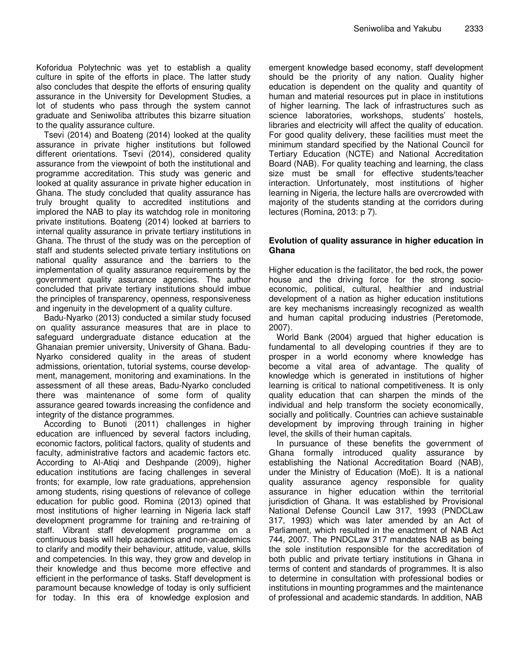Koforidua Polytechnic was yet to establish a quality culture in spite of the efforts in place. The latter study also concludes that despite the efforts of ensuring quality assurance in the University for Development Studies, a lot of students who pass through the system cannot graduate and Seniwoliba attributes this bizarre situation to the quality assurance culture.

Tsevi (2014) and Boateng (2014) looked at the quality assurance in private higher institutions but followed different orientations. Tsevi (2014), considered quality assurance from the viewpoint of both the institutional and programme accreditation. This study was generic and looked at quality assurance in private higher education in Ghana. The study concluded that quality assurance has truly brought quality to accredited institutions and implored the NAB to play its watchdog role in monitoring private institutions. Boateng (2014) looked at barriers to internal quality assurance in private tertiary institutions in Ghana. The thrust of the study was on the perception of staff and students selected private tertiary institutions on national quality assurance and the barriers to the implementation of quality assurance requirements by the government quality assurance agencies. The author concluded that private tertiary institutions should imbue the principles of transparency, openness, responsiveness and ingenuity in the development of a quality culture.

Badu-Nyarko (2013) conducted a similar study focused on quality assurance measures that are in place to safeguard undergraduate distance education at the Ghanaian premier university, University of Ghana. Badu-Nyarko considered quality in the areas of student admissions, orientation, tutorial systems, course development, management, monitoring and examinations. In the assessment of all these areas, Badu-Nyarko concluded there was maintenance of some form of quality assurance geared towards increasing the confidence and integrity of the distance programmes.

According to Bunoti (2011) challenges in higher education are influenced by several factors including, economic factors, political factors, quality of students and faculty, administrative factors and academic factors etc. According to Al-Atiqi and Deshpande (2009), higher education institutions are facing challenges in several fronts; for example, low rate graduations, apprehension among students, rising questions of relevance of college education for public good. Romina (2013) opined that most institutions of higher learning in Nigeria lack staff development programme for training and re-training of staff. Vibrant staff development programme on a continuous basis will help academics and non-academics to clarify and modify their behaviour, attitude, value, skills and competencies. In this way, they grow and develop in their knowledge and thus become more effective and efficient in the performance of tasks. Staff development is paramount because knowledge of today is only sufficient for today. In this era of knowledge explosion and

emergent knowledge based economy, staff development should be the priority of any nation. Quality higher education is dependent on the quality and quantity of human and material resources put in place in institutions of higher learning. The lack of infrastructures such as science laboratories, workshops, students' hostels, libraries and electricity will affect the quality of education. For good quality delivery, these facilities must meet the minimum standard specified by the National Council for Tertiary Education (NCTE) and National Accreditation Board (NAB). For quality teaching and learning, the class size must be small for effective students/teacher interaction. Unfortunately, most institutions of higher learning in Nigeria, the lecture halls are overcrowded with majority of the students standing at the corridors during lectures (Romina, 2013: p 7).

## **Evolution of quality assurance in higher education in Ghana**

Higher education is the facilitator, the bed rock, the power house and the driving force for the strong socioeconomic, political, cultural, healthier and industrial development of a nation as higher education institutions are key mechanisms increasingly recognized as wealth and human capital producing industries (Peretomode, 2007).

World Bank (2004) argued that higher education is fundamental to all developing countries if they are to prosper in a world economy where knowledge has become a vital area of advantage. The quality of knowledge which is generated in institutions of higher learning is critical to national competitiveness. It is only quality education that can sharpen the minds of the individual and help transform the society economically, socially and politically. Countries can achieve sustainable development by improving through training in higher level, the skills of their human capitals.

In pursuance of these benefits the government of Ghana formally introduced quality assurance by establishing the National Accreditation Board (NAB), under the Ministry of Education (MoE). It is a national quality assurance agency responsible for quality assurance in higher education within the territorial jurisdiction of Ghana. It was established by Provisional National Defense Council Law 317, 1993 (PNDCLaw 317, 1993) which was later amended by an Act of Parliament, which resulted in the enactment of NAB Act 744, 2007. The PNDCLaw 317 mandates NAB as being the sole institution responsible for the accreditation of both public and private tertiary institutions in Ghana in terms of content and standards of programmes. It is also to determine in consultation with professional bodies or institutions in mounting programmes and the maintenance of professional and academic standards. In addition, NAB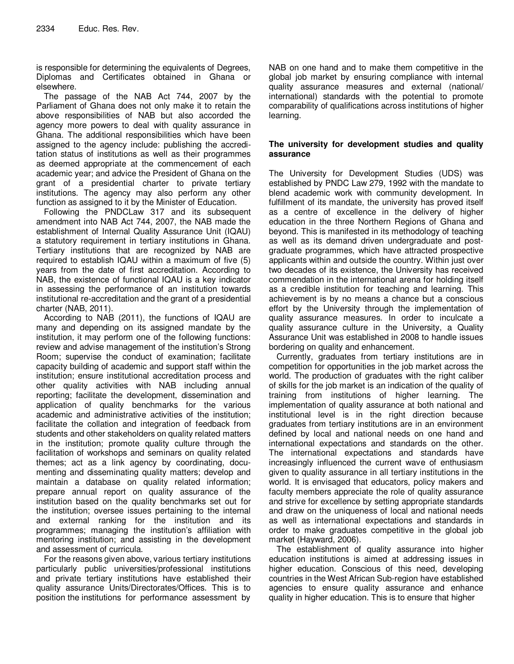is responsible for determining the equivalents of Degrees, Diplomas and Certificates obtained in Ghana or elsewhere.

The passage of the NAB Act 744, 2007 by the Parliament of Ghana does not only make it to retain the above responsibilities of NAB but also accorded the agency more powers to deal with quality assurance in Ghana. The additional responsibilities which have been assigned to the agency include: publishing the accreditation status of institutions as well as their programmes as deemed appropriate at the commencement of each academic year; and advice the President of Ghana on the grant of a presidential charter to private tertiary institutions. The agency may also perform any other function as assigned to it by the Minister of Education.

Following the PNDCLaw 317 and its subsequent amendment into NAB Act 744, 2007, the NAB made the establishment of Internal Quality Assurance Unit (IQAU) a statutory requirement in tertiary institutions in Ghana. Tertiary institutions that are recognized by NAB are required to establish IQAU within a maximum of five (5) years from the date of first accreditation. According to NAB, the existence of functional IQAU is a key indicator in assessing the performance of an institution towards institutional re-accreditation and the grant of a presidential charter (NAB, 2011).

According to NAB (2011), the functions of IQAU are many and depending on its assigned mandate by the institution, it may perform one of the following functions: review and advise management of the institution's Strong Room; supervise the conduct of examination; facilitate capacity building of academic and support staff within the institution; ensure institutional accreditation process and other quality activities with NAB including annual reporting; facilitate the development, dissemination and application of quality benchmarks for the various academic and administrative activities of the institution; facilitate the collation and integration of feedback from students and other stakeholders on quality related matters in the institution; promote quality culture through the facilitation of workshops and seminars on quality related themes; act as a link agency by coordinating, documenting and disseminating quality matters; develop and maintain a database on quality related information; prepare annual report on quality assurance of the institution based on the quality benchmarks set out for the institution; oversee issues pertaining to the internal and external ranking for the institution and its programmes; managing the institution's affiliation with mentoring institution; and assisting in the development and assessment of curricula.

For the reasons given above, various tertiary institutions particularly public universities/professional institutions and private tertiary institutions have established their quality assurance Units/Directorates/Offices. This is to position the institutions for performance assessment by

NAB on one hand and to make them competitive in the global job market by ensuring compliance with internal quality assurance measures and external (national/ international) standards with the potential to promote comparability of qualifications across institutions of higher learning.

## **The university for development studies and quality assurance**

The University for Development Studies (UDS) was established by PNDC Law 279, 1992 with the mandate to blend academic work with community development. In fulfillment of its mandate, the university has proved itself as a centre of excellence in the delivery of higher education in the three Northern Regions of Ghana and beyond. This is manifested in its methodology of teaching as well as its demand driven undergraduate and postgraduate programmes, which have attracted prospective applicants within and outside the country. Within just over two decades of its existence, the University has received commendation in the international arena for holding itself as a credible institution for teaching and learning. This achievement is by no means a chance but a conscious effort by the University through the implementation of quality assurance measures. In order to inculcate a quality assurance culture in the University, a Quality Assurance Unit was established in 2008 to handle issues bordering on quality and enhancement.

Currently, graduates from tertiary institutions are in competition for opportunities in the job market across the world. The production of graduates with the right caliber of skills for the job market is an indication of the quality of training from institutions of higher learning. The implementation of quality assurance at both national and institutional level is in the right direction because graduates from tertiary institutions are in an environment defined by local and national needs on one hand and international expectations and standards on the other. The international expectations and standards have increasingly influenced the current wave of enthusiasm given to quality assurance in all tertiary institutions in the world. It is envisaged that educators, policy makers and faculty members appreciate the role of quality assurance and strive for excellence by setting appropriate standards and draw on the uniqueness of local and national needs as well as international expectations and standards in order to make graduates competitive in the global job market (Hayward, 2006).

The establishment of quality assurance into higher education institutions is aimed at addressing issues in higher education. Conscious of this need, developing countries in the West African Sub-region have established agencies to ensure quality assurance and enhance quality in higher education. This is to ensure that higher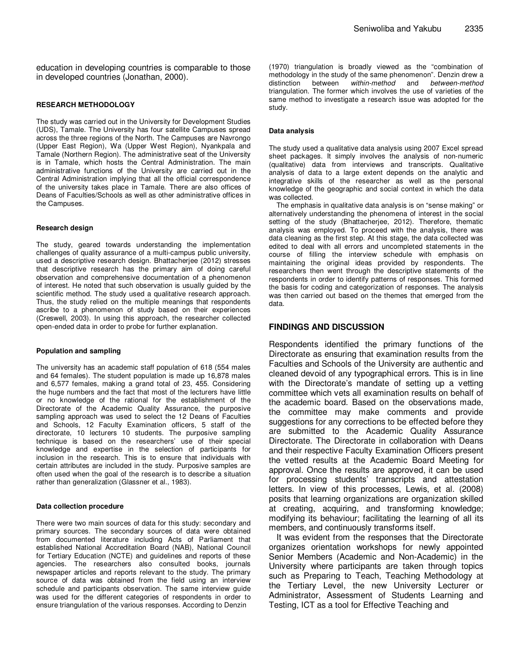education in developing countries is comparable to those in developed countries (Jonathan, 2000).

#### **RESEARCH METHODOLOGY**

The study was carried out in the University for Development Studies (UDS), Tamale. The University has four satellite Campuses spread across the three regions of the North. The Campuses are Navrongo (Upper East Region), Wa (Upper West Region), Nyankpala and Tamale (Northern Region). The administrative seat of the University is in Tamale, which hosts the Central Administration. The main administrative functions of the University are carried out in the Central Administration implying that all the official correspondence of the university takes place in Tamale. There are also offices of Deans of Faculties/Schools as well as other administrative offices in the Campuses.

#### **Research design**

The study, geared towards understanding the implementation challenges of quality assurance of a multi-campus public university, used a descriptive research design. Bhattacherjee (2012) stresses that descriptive research has the primary aim of doing careful observation and comprehensive documentation of a phenomenon of interest. He noted that such observation is usually guided by the scientific method. The study used a qualitative research approach. Thus, the study relied on the multiple meanings that respondents ascribe to a phenomenon of study based on their experiences (Creswell, 2003). In using this approach, the researcher collected open-ended data in order to probe for further explanation.

#### **Population and sampling**

The university has an academic staff population of 618 (554 males and 64 females). The student population is made up 16,878 males and 6,577 females, making a grand total of 23, 455. Considering the huge numbers and the fact that most of the lecturers have little or no knowledge of the rational for the establishment of the Directorate of the Academic Quality Assurance, the purposive sampling approach was used to select the 12 Deans of Faculties and Schools, 12 Faculty Examination officers, 5 staff of the directorate, 10 lecturers 10 students. The purposive sampling technique is based on the researchers' use of their special knowledge and expertise in the selection of participants for inclusion in the research. This is to ensure that individuals with certain attributes are included in the study. Purposive samples are often used when the goal of the research is to describe a situation rather than generalization (Glassner et al., 1983).

#### **Data collection procedure**

There were two main sources of data for this study: secondary and primary sources. The secondary sources of data were obtained from documented literature including Acts of Parliament that established National Accreditation Board (NAB), National Council for Tertiary Education (NCTE) and guidelines and reports of these agencies. The researchers also consulted books, journals newspaper articles and reports relevant to the study. The primary source of data was obtained from the field using an interview schedule and participants observation. The same interview guide was used for the different categories of respondents in order to ensure triangulation of the various responses. According to Denzin

(1970) triangulation is broadly viewed as the "combination of methodology in the study of the same phenomenon". Denzin drew a distinction between within-method and between-method triangulation. The former which involves the use of varieties of the same method to investigate a research issue was adopted for the study.

#### **Data analysis**

The study used a qualitative data analysis using 2007 Excel spread sheet packages. It simply involves the analysis of non-numeric (qualitative) data from interviews and transcripts. Qualitative analysis of data to a large extent depends on the analytic and integrative skills of the researcher as well as the personal knowledge of the geographic and social context in which the data was collected.

The emphasis in qualitative data analysis is on "sense making" or alternatively understanding the phenomena of interest in the social setting of the study (Bhattacherjee, 2012). Therefore, thematic analysis was employed. To proceed with the analysis, there was data cleaning as the first step. At this stage, the data collected was edited to deal with all errors and uncompleted statements in the course of filling the interview schedule with emphasis on maintaining the original ideas provided by respondents. The researchers then went through the descriptive statements of the respondents in order to identify patterns of responses. This formed the basis for coding and categorization of responses. The analysis was then carried out based on the themes that emerged from the data.

### **FINDINGS AND DISCUSSION**

Respondents identified the primary functions of the Directorate as ensuring that examination results from the Faculties and Schools of the University are authentic and cleaned devoid of any typographical errors. This is in line with the Directorate's mandate of setting up a vetting committee which vets all examination results on behalf of the academic board. Based on the observations made, the committee may make comments and provide suggestions for any corrections to be effected before they are submitted to the Academic Quality Assurance Directorate. The Directorate in collaboration with Deans and their respective Faculty Examination Officers present the vetted results at the Academic Board Meeting for approval. Once the results are approved, it can be used for processing students' transcripts and attestation letters. In view of this processes, Lewis, et al. (2008) posits that learning organizations are organization skilled at creating, acquiring, and transforming knowledge; modifying its behaviour; facilitating the learning of all its members, and continuously transforms itself.

It was evident from the responses that the Directorate organizes orientation workshops for newly appointed Senior Members (Academic and Non-Academic) in the University where participants are taken through topics such as Preparing to Teach, Teaching Methodology at the Tertiary Level, the new University Lecturer or Administrator, Assessment of Students Learning and Testing, ICT as a tool for Effective Teaching and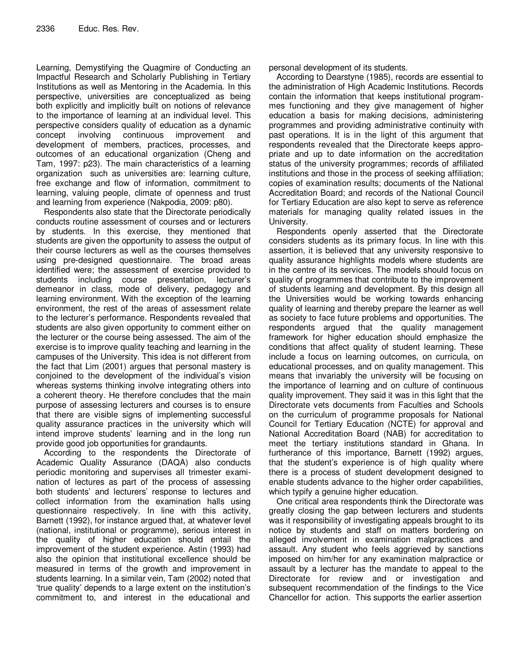Learning, Demystifying the Quagmire of Conducting an Impactful Research and Scholarly Publishing in Tertiary Institutions as well as Mentoring in the Academia. In this perspective, universities are conceptualized as being both explicitly and implicitly built on notions of relevance to the importance of learning at an individual level. This perspective considers quality of education as a dynamic concept involving continuous improvement and development of members, practices, processes, and outcomes of an educational organization (Cheng and Tam, 1997: p23). The main characteristics of a learning organization such as universities are: learning culture, free exchange and flow of information, commitment to learning, valuing people, climate of openness and trust and learning from experience (Nakpodia, 2009: p80).

Respondents also state that the Directorate periodically conducts routine assessment of courses and or lecturers by students. In this exercise, they mentioned that students are given the opportunity to assess the output of their course lecturers as well as the courses themselves using pre-designed questionnaire. The broad areas identified were; the assessment of exercise provided to students including course presentation, lecturer's demeanor in class, mode of delivery, pedagogy and learning environment. With the exception of the learning environment, the rest of the areas of assessment relate to the lecturer's performance. Respondents revealed that students are also given opportunity to comment either on the lecturer or the course being assessed. The aim of the exercise is to improve quality teaching and learning in the campuses of the University. This idea is not different from the fact that Lim (2001) argues that personal mastery is conjoined to the development of the individual's vision whereas systems thinking involve integrating others into a coherent theory. He therefore concludes that the main purpose of assessing lecturers and courses is to ensure that there are visible signs of implementing successful quality assurance practices in the university which will intend improve students' learning and in the long run provide good job opportunities for grandaunts.

According to the respondents the Directorate of Academic Quality Assurance (DAQA) also conducts periodic monitoring and supervises all trimester examination of lectures as part of the process of assessing both students' and lecturers' response to lectures and collect information from the examination halls using questionnaire respectively. In line with this activity, Barnett (1992), for instance argued that, at whatever level (national, institutional or programme), serious interest in the quality of higher education should entail the improvement of the student experience. Astin (1993) had also the opinion that institutional excellence should be measured in terms of the growth and improvement in students learning. In a similar vein, Tam (2002) noted that 'true quality' depends to a large extent on the institution's commitment to, and interest in the educational and personal development of its students.

According to Dearstyne (1985), records are essential to the administration of High Academic Institutions. Records contain the information that keeps institutional programmes functioning and they give management of higher education a basis for making decisions, administering programmes and providing administrative continuity with past operations. It is in the light of this argument that respondents revealed that the Directorate keeps appropriate and up to date information on the accreditation status of the university programmes; records of affiliated institutions and those in the process of seeking affiliation; copies of examination results; documents of the National Accreditation Board; and records of the National Council for Tertiary Education are also kept to serve as reference materials for managing quality related issues in the University.

Respondents openly asserted that the Directorate considers students as its primary focus. In line with this assertion, it is believed that any university responsive to quality assurance highlights models where students are in the centre of its services. The models should focus on quality of programmes that contribute to the improvement of students learning and development. By this design all the Universities would be working towards enhancing quality of learning and thereby prepare the learner as well as society to face future problems and opportunities. The respondents argued that the quality management framework for higher education should emphasize the conditions that affect quality of student learning. These include a focus on learning outcomes, on curricula, on educational processes, and on quality management. This means that invariably the university will be focusing on the importance of learning and on culture of continuous quality improvement. They said it was in this light that the Directorate vets documents from Faculties and Schools on the curriculum of programme proposals for National Council for Tertiary Education (NCTE) for approval and National Accreditation Board (NAB) for accreditation to meet the tertiary institutions standard in Ghana. In furtherance of this importance, Barnett (1992) argues, that the student's experience is of high quality where there is a process of student development designed to enable students advance to the higher order capabilities, which typify a genuine higher education.

One critical area respondents think the Directorate was greatly closing the gap between lecturers and students was it responsibility of investigating appeals brought to its notice by students and staff on matters bordering on alleged involvement in examination malpractices and assault. Any student who feels aggrieved by sanctions imposed on him/her for any examination malpractice or assault by a lecturer has the mandate to appeal to the Directorate for review and or investigation and subsequent recommendation of the findings to the Vice Chancellor for action. This supports the earlier assertion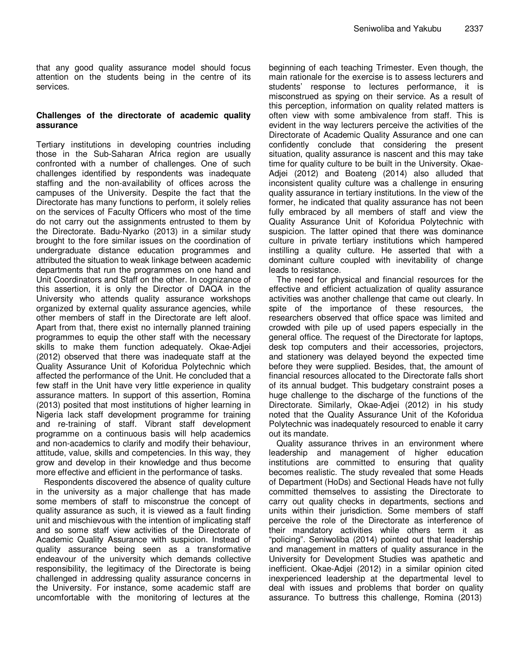that any good quality assurance model should focus attention on the students being in the centre of its services.

## **Challenges of the directorate of academic quality assurance**

Tertiary institutions in developing countries including those in the Sub-Saharan Africa region are usually confronted with a number of challenges. One of such challenges identified by respondents was inadequate staffing and the non-availability of offices across the campuses of the University. Despite the fact that the Directorate has many functions to perform, it solely relies on the services of Faculty Officers who most of the time do not carry out the assignments entrusted to them by the Directorate. Badu-Nyarko (2013) in a similar study brought to the fore similar issues on the coordination of undergraduate distance education programmes and attributed the situation to weak linkage between academic departments that run the programmes on one hand and Unit Coordinators and Staff on the other. In cognizance of this assertion, it is only the Director of DAQA in the University who attends quality assurance workshops organized by external quality assurance agencies, while other members of staff in the Directorate are left aloof. Apart from that, there exist no internally planned training programmes to equip the other staff with the necessary skills to make them function adequately. Okae-Adjei (2012) observed that there was inadequate staff at the Quality Assurance Unit of Koforidua Polytechnic which affected the performance of the Unit. He concluded that a few staff in the Unit have very little experience in quality assurance matters. In support of this assertion, Romina (2013) posited that most institutions of higher learning in Nigeria lack staff development programme for training and re-training of staff. Vibrant staff development programme on a continuous basis will help academics and non-academics to clarify and modify their behaviour, attitude, value, skills and competencies. In this way, they grow and develop in their knowledge and thus become more effective and efficient in the performance of tasks.

Respondents discovered the absence of quality culture in the university as a major challenge that has made some members of staff to misconstrue the concept of quality assurance as such, it is viewed as a fault finding unit and mischievous with the intention of implicating staff and so some staff view activities of the Directorate of Academic Quality Assurance with suspicion. Instead of quality assurance being seen as a transformative endeavour of the university which demands collective responsibility, the legitimacy of the Directorate is being challenged in addressing quality assurance concerns in the University. For instance, some academic staff are uncomfortable with the monitoring of lectures at the

beginning of each teaching Trimester. Even though, the main rationale for the exercise is to assess lecturers and students' response to lectures performance, it is misconstrued as spying on their service. As a result of this perception, information on quality related matters is often view with some ambivalence from staff. This is evident in the way lecturers perceive the activities of the Directorate of Academic Quality Assurance and one can confidently conclude that considering the present situation, quality assurance is nascent and this may take time for quality culture to be built in the University. Okae-Adjei (2012) and Boateng (2014) also alluded that inconsistent quality culture was a challenge in ensuring quality assurance in tertiary institutions. In the view of the former, he indicated that quality assurance has not been fully embraced by all members of staff and view the Quality Assurance Unit of Koforidua Polytechnic with suspicion. The latter opined that there was dominance culture in private tertiary institutions which hampered instilling a quality culture. He asserted that with a dominant culture coupled with inevitability of change leads to resistance.

The need for physical and financial resources for the effective and efficient actualization of quality assurance activities was another challenge that came out clearly. In spite of the importance of these resources, the researchers observed that office space was limited and crowded with pile up of used papers especially in the general office. The request of the Directorate for laptops, desk top computers and their accessories, projectors, and stationery was delayed beyond the expected time before they were supplied. Besides, that, the amount of financial resources allocated to the Directorate falls short of its annual budget. This budgetary constraint poses a huge challenge to the discharge of the functions of the Directorate. Similarly, Okae-Adjei (2012) in his study noted that the Quality Assurance Unit of the Koforidua Polytechnic was inadequately resourced to enable it carry out its mandate.

Quality assurance thrives in an environment where leadership and management of higher education institutions are committed to ensuring that quality becomes realistic. The study revealed that some Heads of Department (HoDs) and Sectional Heads have not fully committed themselves to assisting the Directorate to carry out quality checks in departments, sections and units within their jurisdiction. Some members of staff perceive the role of the Directorate as interference of their mandatory activities while others term it as "policing". Seniwoliba (2014) pointed out that leadership and management in matters of quality assurance in the University for Development Studies was apathetic and inefficient. Okae-Adjei (2012) in a similar opinion cited inexperienced leadership at the departmental level to deal with issues and problems that border on quality assurance. To buttress this challenge, Romina (2013)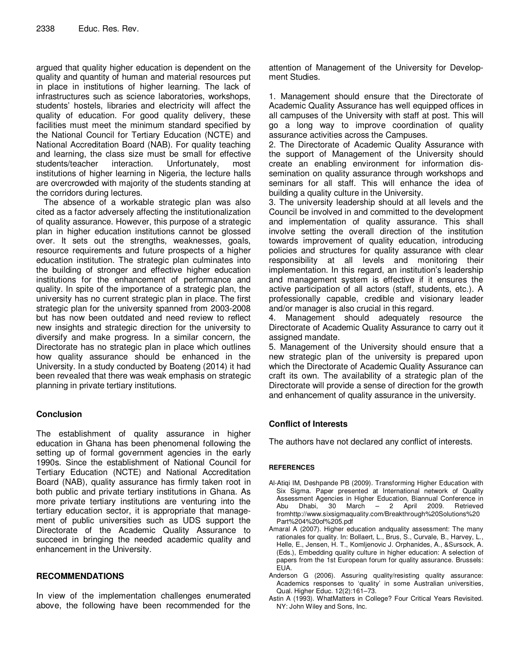argued that quality higher education is dependent on the quality and quantity of human and material resources put in place in institutions of higher learning. The lack of infrastructures such as science laboratories, workshops, students' hostels, libraries and electricity will affect the quality of education. For good quality delivery, these facilities must meet the minimum standard specified by the National Council for Tertiary Education (NCTE) and National Accreditation Board (NAB). For quality teaching and learning, the class size must be small for effective students/teacher interaction. Unfortunately, most institutions of higher learning in Nigeria, the lecture halls are overcrowded with majority of the students standing at the corridors during lectures.

The absence of a workable strategic plan was also cited as a factor adversely affecting the institutionalization of quality assurance. However, this purpose of a strategic plan in higher education institutions cannot be glossed over. It sets out the strengths, weaknesses, goals, resource requirements and future prospects of a higher education institution. The strategic plan culminates into the building of stronger and effective higher education institutions for the enhancement of performance and quality. In spite of the importance of a strategic plan, the university has no current strategic plan in place. The first strategic plan for the university spanned from 2003-2008 but has now been outdated and need review to reflect new insights and strategic direction for the university to diversify and make progress. In a similar concern, the Directorate has no strategic plan in place which outlines how quality assurance should be enhanced in the University. In a study conducted by Boateng (2014) it had been revealed that there was weak emphasis on strategic planning in private tertiary institutions.

## **Conclusion**

The establishment of quality assurance in higher education in Ghana has been phenomenal following the setting up of formal government agencies in the early 1990s. Since the establishment of National Council for Tertiary Education (NCTE) and National Accreditation Board (NAB), quality assurance has firmly taken root in both public and private tertiary institutions in Ghana. As more private tertiary institutions are venturing into the tertiary education sector, it is appropriate that management of public universities such as UDS support the Directorate of the Academic Quality Assurance to succeed in bringing the needed academic quality and enhancement in the University.

## **RECOMMENDATIONS**

In view of the implementation challenges enumerated above, the following have been recommended for the attention of Management of the University for Development Studies.

1. Management should ensure that the Directorate of Academic Quality Assurance has well equipped offices in all campuses of the University with staff at post. This will go a long way to improve coordination of quality assurance activities across the Campuses.

2. The Directorate of Academic Quality Assurance with the support of Management of the University should create an enabling environment for information dissemination on quality assurance through workshops and seminars for all staff. This will enhance the idea of building a quality culture in the University.

3. The university leadership should at all levels and the Council be involved in and committed to the development and implementation of quality assurance. This shall involve setting the overall direction of the institution towards improvement of quality education, introducing policies and structures for quality assurance with clear responsibility at all levels and monitoring their implementation. In this regard, an institution's leadership and management system is effective if it ensures the active participation of all actors (staff, students, etc.). A professionally capable, credible and visionary leader and/or manager is also crucial in this regard.

Management should adequately resource the Directorate of Academic Quality Assurance to carry out it assigned mandate.

5. Management of the University should ensure that a new strategic plan of the university is prepared upon which the Directorate of Academic Quality Assurance can craft its own. The availability of a strategic plan of the Directorate will provide a sense of direction for the growth and enhancement of quality assurance in the university.

## **Conflict of Interests**

The authors have not declared any conflict of interests.

## **REFERENCES**

- Al-Atiqi IM, Deshpande PB (2009). Transforming Higher Education with Six Sigma. Paper presented at International network of Quality Assessment Agencies in Higher Education, Biannual Conference in Abu Dhabi, 30 March – 2 April 2009. Retrieved fromhttp://www.sixsigmaquality.com/Breakthrough%20Solutions%20 Part%204%20of%205.pdf
- Amaral A (2007). Higher education andquality assessment: The many rationales for quality. In: Bollaert, L., Brus, S., Curvale, B., Harvey, L., Helle, E., Jensen, H. T., Komljenovic J. Orphanides, A., &Sursock, A. (Eds.), Embedding quality culture in higher education: A selection of papers from the 1st European forum for quality assurance. Brussels: EUA.
- Anderson G (2006). Assuring quality/resisting quality assurance: Academics responses to 'quality' in some Australian universities, Qual. Higher Educ. 12(2):161–73.
- Astin A (1993). WhatMatters in College? Four Critical Years Revisited. NY: John Wiley and Sons, Inc.